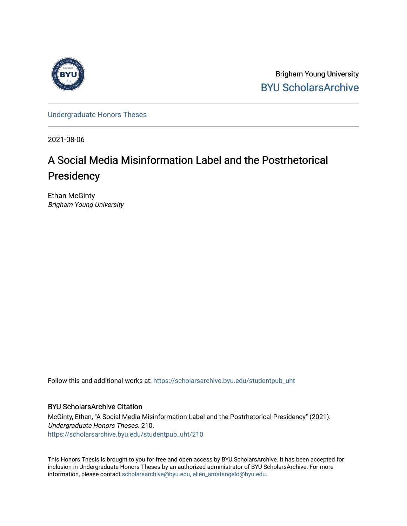

Brigham Young University [BYU ScholarsArchive](https://scholarsarchive.byu.edu/) 

[Undergraduate Honors Theses](https://scholarsarchive.byu.edu/studentpub_uht) 

2021-08-06

# A Social Media Misinformation Label and the Postrhetorical **Presidency**

Ethan McGinty Brigham Young University

Follow this and additional works at: [https://scholarsarchive.byu.edu/studentpub\\_uht](https://scholarsarchive.byu.edu/studentpub_uht?utm_source=scholarsarchive.byu.edu%2Fstudentpub_uht%2F210&utm_medium=PDF&utm_campaign=PDFCoverPages) 

## BYU ScholarsArchive Citation

McGinty, Ethan, "A Social Media Misinformation Label and the Postrhetorical Presidency" (2021). Undergraduate Honors Theses. 210. [https://scholarsarchive.byu.edu/studentpub\\_uht/210](https://scholarsarchive.byu.edu/studentpub_uht/210?utm_source=scholarsarchive.byu.edu%2Fstudentpub_uht%2F210&utm_medium=PDF&utm_campaign=PDFCoverPages)

This Honors Thesis is brought to you for free and open access by BYU ScholarsArchive. It has been accepted for inclusion in Undergraduate Honors Theses by an authorized administrator of BYU ScholarsArchive. For more information, please contact [scholarsarchive@byu.edu, ellen\\_amatangelo@byu.edu.](mailto:scholarsarchive@byu.edu,%20ellen_amatangelo@byu.edu)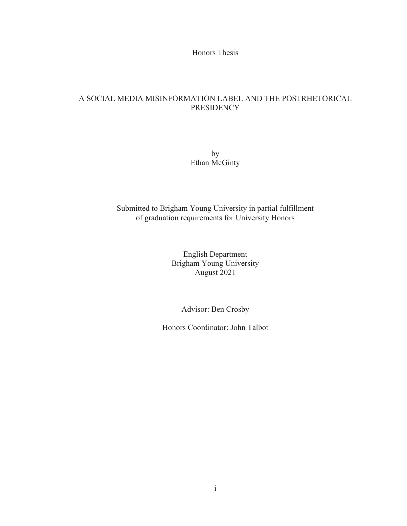Honors Thesis

## A SOCIAL MEDIA MISINFORMATION LABEL AND THE POSTRHETORICAL PRESIDENCY

by Ethan McGinty

Submitted to Brigham Young University in partial fulfillment of graduation requirements for University Honors

> English Department Brigham Young University August 2021

> > Advisor: Ben Crosby

Honors Coordinator: John Talbot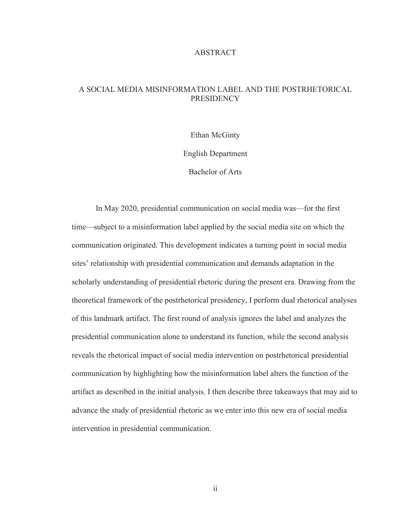#### ABSTRACT

# A SOCIAL MEDIA MISINFORMATION LABEL AND THE POSTRHETORICAL **PRESIDENCY**

Ethan McGinty

English Department

Bachelor of Arts

In May 2020, presidential communication on social media was—for the first time—subject to a misinformation label applied by the social media site on which the communication originated. This development indicates a turning point in social media sites' relationship with presidential communication and demands adaptation in the scholarly understanding of presidential rhetoric during the present era. Drawing from the theoretical framework of the postrhetorical presidency, I perform dual rhetorical analyses of this landmark artifact. The first round of analysis ignores the label and analyzes the presidential communication alone to understand its function, while the second analysis reveals the rhetorical impact of social media intervention on postrhetorical presidential communication by highlighting how the misinformation label alters the function of the artifact as described in the initial analysis. I then describe three takeaways that may aid to advance the study of presidential rhetoric as we enter into this new era of social media intervention in presidential communication.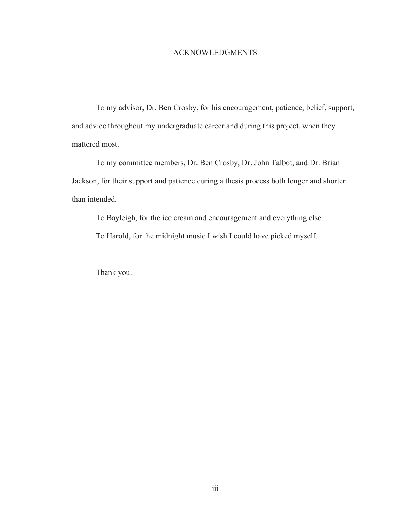### ACKNOWLEDGMENTS

To my advisor, Dr. Ben Crosby, for his encouragement, patience, belief, support, and advice throughout my undergraduate career and during this project, when they mattered most.

To my committee members, Dr. Ben Crosby, Dr. John Talbot, and Dr. Brian Jackson, for their support and patience during a thesis process both longer and shorter than intended.

To Bayleigh, for the ice cream and encouragement and everything else. To Harold, for the midnight music I wish I could have picked myself.

Thank you.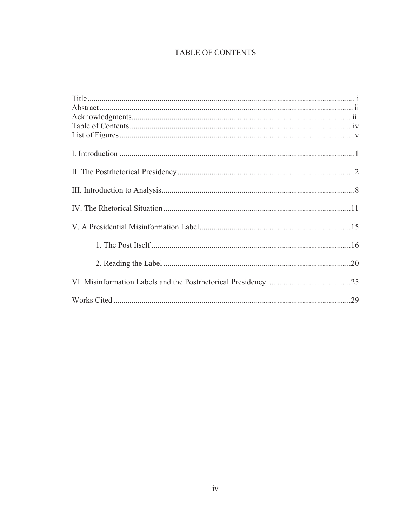# TABLE OF CONTENTS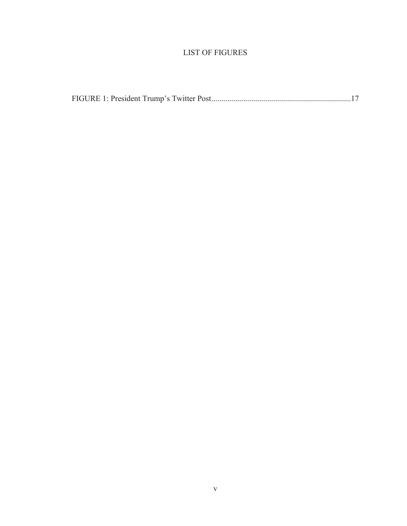# LIST OF FIGURES

|--|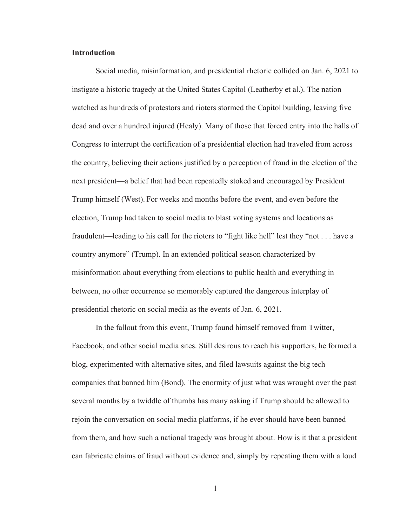#### **Introduction**

Social media, misinformation, and presidential rhetoric collided on Jan. 6, 2021 to instigate a historic tragedy at the United States Capitol (Leatherby et al.). The nation watched as hundreds of protestors and rioters stormed the Capitol building, leaving five dead and over a hundred injured (Healy). Many of those that forced entry into the halls of Congress to interrupt the certification of a presidential election had traveled from across the country, believing their actions justified by a perception of fraud in the election of the next president—a belief that had been repeatedly stoked and encouraged by President Trump himself (West). For weeks and months before the event, and even before the election, Trump had taken to social media to blast voting systems and locations as fraudulent—leading to his call for the rioters to "fight like hell" lest they "not . . . have a country anymore" (Trump). In an extended political season characterized by misinformation about everything from elections to public health and everything in between, no other occurrence so memorably captured the dangerous interplay of presidential rhetoric on social media as the events of Jan. 6, 2021.

In the fallout from this event, Trump found himself removed from Twitter, Facebook, and other social media sites. Still desirous to reach his supporters, he formed a blog, experimented with alternative sites, and filed lawsuits against the big tech companies that banned him (Bond). The enormity of just what was wrought over the past several months by a twiddle of thumbs has many asking if Trump should be allowed to rejoin the conversation on social media platforms, if he ever should have been banned from them, and how such a national tragedy was brought about. How is it that a president can fabricate claims of fraud without evidence and, simply by repeating them with a loud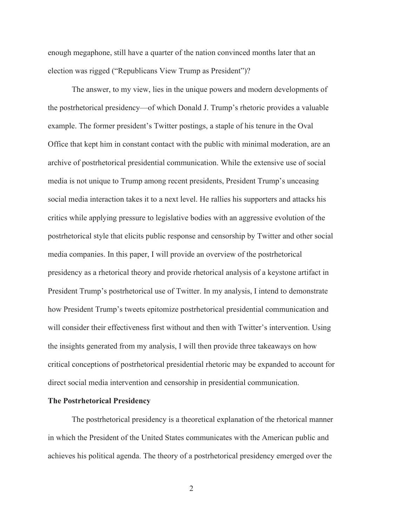enough megaphone, still have a quarter of the nation convinced months later that an election was rigged ("Republicans View Trump as President")?

The answer, to my view, lies in the unique powers and modern developments of the postrhetorical presidency—of which Donald J. Trump's rhetoric provides a valuable example. The former president's Twitter postings, a staple of his tenure in the Oval Office that kept him in constant contact with the public with minimal moderation, are an archive of postrhetorical presidential communication. While the extensive use of social media is not unique to Trump among recent presidents, President Trump's unceasing social media interaction takes it to a next level. He rallies his supporters and attacks his critics while applying pressure to legislative bodies with an aggressive evolution of the postrhetorical style that elicits public response and censorship by Twitter and other social media companies. In this paper, I will provide an overview of the postrhetorical presidency as a rhetorical theory and provide rhetorical analysis of a keystone artifact in President Trump's postrhetorical use of Twitter. In my analysis, I intend to demonstrate how President Trump's tweets epitomize postrhetorical presidential communication and will consider their effectiveness first without and then with Twitter's intervention. Using the insights generated from my analysis, I will then provide three takeaways on how critical conceptions of postrhetorical presidential rhetoric may be expanded to account for direct social media intervention and censorship in presidential communication.

#### **The Postrhetorical Presidency**

 The postrhetorical presidency is a theoretical explanation of the rhetorical manner in which the President of the United States communicates with the American public and achieves his political agenda. The theory of a postrhetorical presidency emerged over the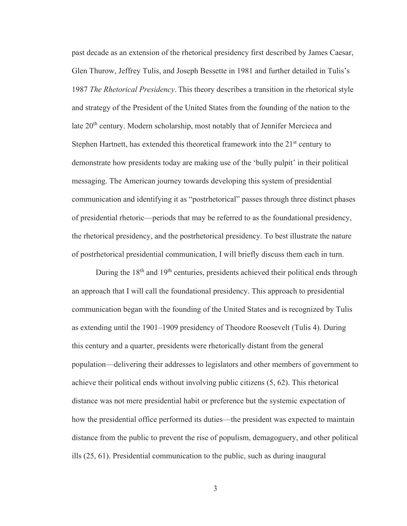past decade as an extension of the rhetorical presidency first described by James Caesar, Glen Thurow, Jeffrey Tulis, and Joseph Bessette in 1981 and further detailed in Tulis's 1987 *The Rhetorical Presidency*. This theory describes a transition in the rhetorical style and strategy of the President of the United States from the founding of the nation to the late 20<sup>th</sup> century. Modern scholarship, most notably that of Jennifer Mercieca and Stephen Hartnett, has extended this theoretical framework into the  $21<sup>st</sup>$  century to demonstrate how presidents today are making use of the 'bully pulpit' in their political messaging. The American journey towards developing this system of presidential communication and identifying it as "postrhetorical" passes through three distinct phases of presidential rhetoric—periods that may be referred to as the foundational presidency, the rhetorical presidency, and the postrhetorical presidency. To best illustrate the nature of postrhetorical presidential communication, I will briefly discuss them each in turn.

During the 18<sup>th</sup> and 19<sup>th</sup> centuries, presidents achieved their political ends through an approach that I will call the foundational presidency. This approach to presidential communication began with the founding of the United States and is recognized by Tulis as extending until the 1901–1909 presidency of Theodore Roosevelt (Tulis 4). During this century and a quarter, presidents were rhetorically distant from the general population—delivering their addresses to legislators and other members of government to achieve their political ends without involving public citizens (5, 62). This rhetorical distance was not mere presidential habit or preference but the systemic expectation of how the presidential office performed its duties—the president was expected to maintain distance from the public to prevent the rise of populism, demagoguery, and other political ills (25, 61). Presidential communication to the public, such as during inaugural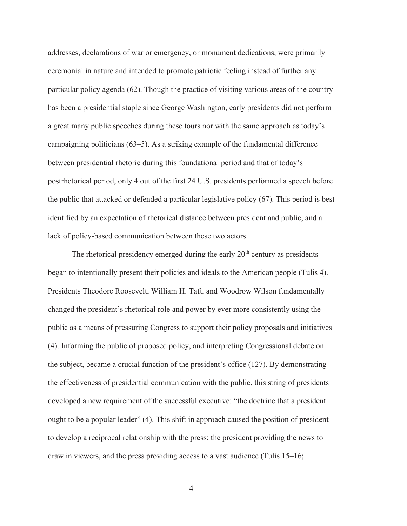addresses, declarations of war or emergency, or monument dedications, were primarily ceremonial in nature and intended to promote patriotic feeling instead of further any particular policy agenda (62). Though the practice of visiting various areas of the country has been a presidential staple since George Washington, early presidents did not perform a great many public speeches during these tours nor with the same approach as today's campaigning politicians (63–5). As a striking example of the fundamental difference between presidential rhetoric during this foundational period and that of today's postrhetorical period, only 4 out of the first 24 U.S. presidents performed a speech before the public that attacked or defended a particular legislative policy (67). This period is best identified by an expectation of rhetorical distance between president and public, and a lack of policy-based communication between these two actors.

The rhetorical presidency emerged during the early  $20<sup>th</sup>$  century as presidents began to intentionally present their policies and ideals to the American people (Tulis 4). Presidents Theodore Roosevelt, William H. Taft, and Woodrow Wilson fundamentally changed the president's rhetorical role and power by ever more consistently using the public as a means of pressuring Congress to support their policy proposals and initiatives (4). Informing the public of proposed policy, and interpreting Congressional debate on the subject, became a crucial function of the president's office (127). By demonstrating the effectiveness of presidential communication with the public, this string of presidents developed a new requirement of the successful executive: "the doctrine that a president ought to be a popular leader" (4). This shift in approach caused the position of president to develop a reciprocal relationship with the press: the president providing the news to draw in viewers, and the press providing access to a vast audience (Tulis 15–16;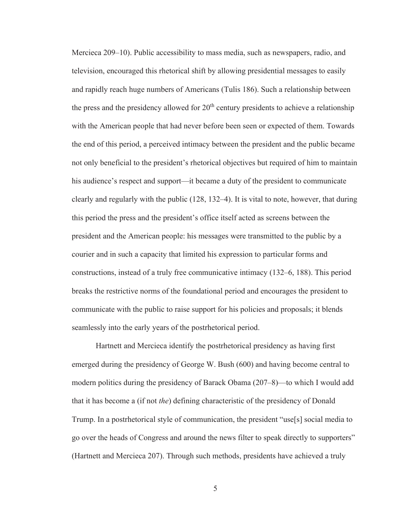Mercieca 209–10). Public accessibility to mass media, such as newspapers, radio, and television, encouraged this rhetorical shift by allowing presidential messages to easily and rapidly reach huge numbers of Americans (Tulis 186). Such a relationship between the press and the presidency allowed for  $20<sup>th</sup>$  century presidents to achieve a relationship with the American people that had never before been seen or expected of them. Towards the end of this period, a perceived intimacy between the president and the public became not only beneficial to the president's rhetorical objectives but required of him to maintain his audience's respect and support—it became a duty of the president to communicate clearly and regularly with the public (128, 132–4). It is vital to note, however, that during this period the press and the president's office itself acted as screens between the president and the American people: his messages were transmitted to the public by a courier and in such a capacity that limited his expression to particular forms and constructions, instead of a truly free communicative intimacy (132–6, 188). This period breaks the restrictive norms of the foundational period and encourages the president to communicate with the public to raise support for his policies and proposals; it blends seamlessly into the early years of the postrhetorical period.

Hartnett and Mercieca identify the postrhetorical presidency as having first emerged during the presidency of George W. Bush (600) and having become central to modern politics during the presidency of Barack Obama (207–8)—to which I would add that it has become a (if not *the*) defining characteristic of the presidency of Donald Trump. In a postrhetorical style of communication, the president "use[s] social media to go over the heads of Congress and around the news filter to speak directly to supporters" (Hartnett and Mercieca 207). Through such methods, presidents have achieved a truly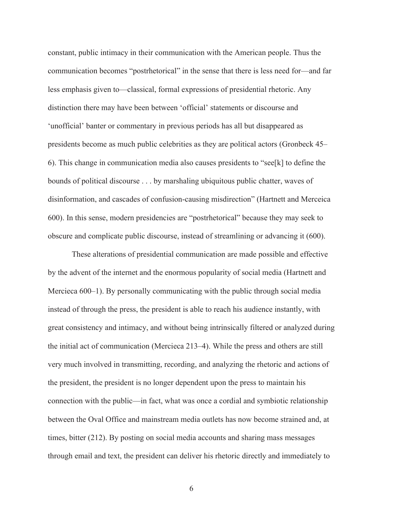constant, public intimacy in their communication with the American people. Thus the communication becomes "postrhetorical" in the sense that there is less need for—and far less emphasis given to—classical, formal expressions of presidential rhetoric. Any distinction there may have been between 'official' statements or discourse and 'unofficial' banter or commentary in previous periods has all but disappeared as presidents become as much public celebrities as they are political actors (Gronbeck 45– 6). This change in communication media also causes presidents to "see[k] to define the bounds of political discourse . . . by marshaling ubiquitous public chatter, waves of disinformation, and cascades of confusion-causing misdirection" (Hartnett and Merceica 600). In this sense, modern presidencies are "postrhetorical" because they may seek to obscure and complicate public discourse, instead of streamlining or advancing it (600).

These alterations of presidential communication are made possible and effective by the advent of the internet and the enormous popularity of social media (Hartnett and Mercieca 600–1). By personally communicating with the public through social media instead of through the press, the president is able to reach his audience instantly, with great consistency and intimacy, and without being intrinsically filtered or analyzed during the initial act of communication (Mercieca 213–4). While the press and others are still very much involved in transmitting, recording, and analyzing the rhetoric and actions of the president, the president is no longer dependent upon the press to maintain his connection with the public—in fact, what was once a cordial and symbiotic relationship between the Oval Office and mainstream media outlets has now become strained and, at times, bitter (212). By posting on social media accounts and sharing mass messages through email and text, the president can deliver his rhetoric directly and immediately to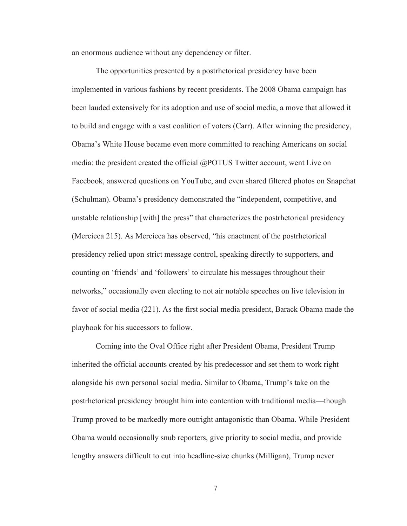an enormous audience without any dependency or filter.

The opportunities presented by a postrhetorical presidency have been implemented in various fashions by recent presidents. The 2008 Obama campaign has been lauded extensively for its adoption and use of social media, a move that allowed it to build and engage with a vast coalition of voters (Carr). After winning the presidency, Obama's White House became even more committed to reaching Americans on social media: the president created the official @POTUS Twitter account, went Live on Facebook, answered questions on YouTube, and even shared filtered photos on Snapchat (Schulman). Obama's presidency demonstrated the "independent, competitive, and unstable relationship [with] the press" that characterizes the postrhetorical presidency (Mercieca 215). As Mercieca has observed, "his enactment of the postrhetorical presidency relied upon strict message control, speaking directly to supporters, and counting on 'friends' and 'followers' to circulate his messages throughout their networks," occasionally even electing to not air notable speeches on live television in favor of social media (221). As the first social media president, Barack Obama made the playbook for his successors to follow.

 Coming into the Oval Office right after President Obama, President Trump inherited the official accounts created by his predecessor and set them to work right alongside his own personal social media. Similar to Obama, Trump's take on the postrhetorical presidency brought him into contention with traditional media—though Trump proved to be markedly more outright antagonistic than Obama. While President Obama would occasionally snub reporters, give priority to social media, and provide lengthy answers difficult to cut into headline-size chunks (Milligan), Trump never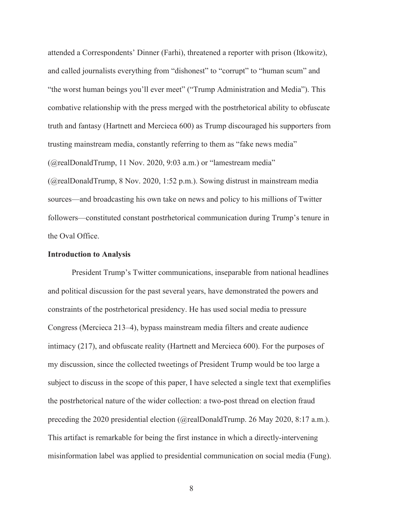attended a Correspondents' Dinner (Farhi), threatened a reporter with prison (Itkowitz), and called journalists everything from "dishonest" to "corrupt" to "human scum" and "the worst human beings you'll ever meet" ("Trump Administration and Media"). This combative relationship with the press merged with the postrhetorical ability to obfuscate truth and fantasy (Hartnett and Mercieca 600) as Trump discouraged his supporters from trusting mainstream media, constantly referring to them as "fake news media" (@realDonaldTrump, 11 Nov. 2020, 9:03 a.m.) or "lamestream media" (@realDonaldTrump, 8 Nov. 2020, 1:52 p.m.). Sowing distrust in mainstream media sources—and broadcasting his own take on news and policy to his millions of Twitter followers—constituted constant postrhetorical communication during Trump's tenure in

the Oval Office.

#### **Introduction to Analysis**

President Trump's Twitter communications, inseparable from national headlines and political discussion for the past several years, have demonstrated the powers and constraints of the postrhetorical presidency. He has used social media to pressure Congress (Mercieca 213–4), bypass mainstream media filters and create audience intimacy (217), and obfuscate reality (Hartnett and Mercieca 600). For the purposes of my discussion, since the collected tweetings of President Trump would be too large a subject to discuss in the scope of this paper, I have selected a single text that exemplifies the postrhetorical nature of the wider collection: a two-post thread on election fraud preceding the 2020 presidential election (@realDonaldTrump. 26 May 2020, 8:17 a.m.). This artifact is remarkable for being the first instance in which a directly-intervening misinformation label was applied to presidential communication on social media (Fung).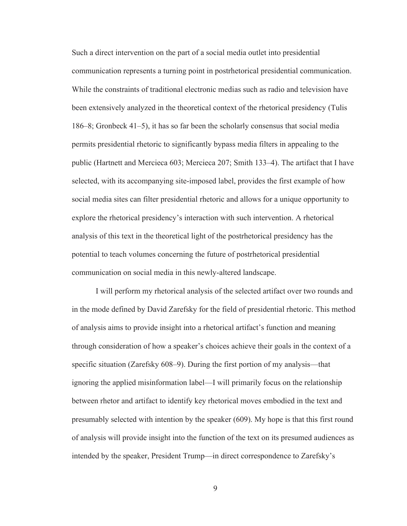Such a direct intervention on the part of a social media outlet into presidential communication represents a turning point in postrhetorical presidential communication. While the constraints of traditional electronic medias such as radio and television have been extensively analyzed in the theoretical context of the rhetorical presidency (Tulis 186–8; Gronbeck 41–5), it has so far been the scholarly consensus that social media permits presidential rhetoric to significantly bypass media filters in appealing to the public (Hartnett and Mercieca 603; Mercieca 207; Smith 133–4). The artifact that I have selected, with its accompanying site-imposed label, provides the first example of how social media sites can filter presidential rhetoric and allows for a unique opportunity to explore the rhetorical presidency's interaction with such intervention. A rhetorical analysis of this text in the theoretical light of the postrhetorical presidency has the potential to teach volumes concerning the future of postrhetorical presidential communication on social media in this newly-altered landscape.

I will perform my rhetorical analysis of the selected artifact over two rounds and in the mode defined by David Zarefsky for the field of presidential rhetoric. This method of analysis aims to provide insight into a rhetorical artifact's function and meaning through consideration of how a speaker's choices achieve their goals in the context of a specific situation (Zarefsky 608–9). During the first portion of my analysis—that ignoring the applied misinformation label—I will primarily focus on the relationship between rhetor and artifact to identify key rhetorical moves embodied in the text and presumably selected with intention by the speaker (609). My hope is that this first round of analysis will provide insight into the function of the text on its presumed audiences as intended by the speaker, President Trump—in direct correspondence to Zarefsky's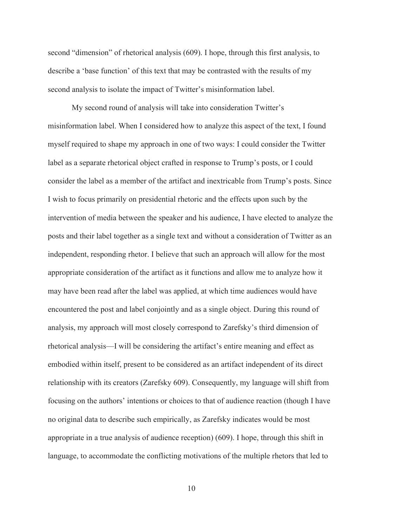second "dimension" of rhetorical analysis (609). I hope, through this first analysis, to describe a 'base function' of this text that may be contrasted with the results of my second analysis to isolate the impact of Twitter's misinformation label.

My second round of analysis will take into consideration Twitter's misinformation label. When I considered how to analyze this aspect of the text, I found myself required to shape my approach in one of two ways: I could consider the Twitter label as a separate rhetorical object crafted in response to Trump's posts, or I could consider the label as a member of the artifact and inextricable from Trump's posts. Since I wish to focus primarily on presidential rhetoric and the effects upon such by the intervention of media between the speaker and his audience, I have elected to analyze the posts and their label together as a single text and without a consideration of Twitter as an independent, responding rhetor. I believe that such an approach will allow for the most appropriate consideration of the artifact as it functions and allow me to analyze how it may have been read after the label was applied, at which time audiences would have encountered the post and label conjointly and as a single object. During this round of analysis, my approach will most closely correspond to Zarefsky's third dimension of rhetorical analysis—I will be considering the artifact's entire meaning and effect as embodied within itself, present to be considered as an artifact independent of its direct relationship with its creators (Zarefsky 609). Consequently, my language will shift from focusing on the authors' intentions or choices to that of audience reaction (though I have no original data to describe such empirically, as Zarefsky indicates would be most appropriate in a true analysis of audience reception) (609). I hope, through this shift in language, to accommodate the conflicting motivations of the multiple rhetors that led to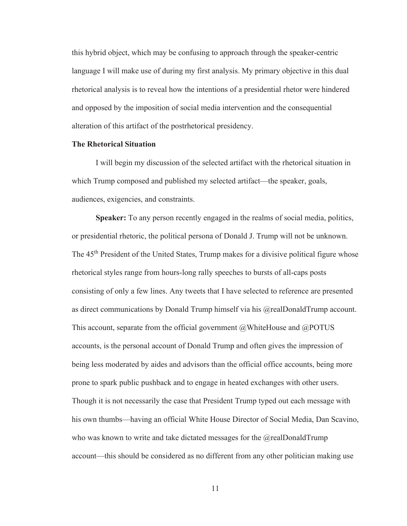this hybrid object, which may be confusing to approach through the speaker-centric language I will make use of during my first analysis. My primary objective in this dual rhetorical analysis is to reveal how the intentions of a presidential rhetor were hindered and opposed by the imposition of social media intervention and the consequential alteration of this artifact of the postrhetorical presidency.

#### **The Rhetorical Situation**

I will begin my discussion of the selected artifact with the rhetorical situation in which Trump composed and published my selected artifact—the speaker, goals, audiences, exigencies, and constraints.

**Speaker:** To any person recently engaged in the realms of social media, politics, or presidential rhetoric, the political persona of Donald J. Trump will not be unknown. The 45<sup>th</sup> President of the United States, Trump makes for a divisive political figure whose rhetorical styles range from hours-long rally speeches to bursts of all-caps posts consisting of only a few lines. Any tweets that I have selected to reference are presented as direct communications by Donald Trump himself via his @realDonaldTrump account. This account, separate from the official government @WhiteHouse and @POTUS accounts, is the personal account of Donald Trump and often gives the impression of being less moderated by aides and advisors than the official office accounts, being more prone to spark public pushback and to engage in heated exchanges with other users. Though it is not necessarily the case that President Trump typed out each message with his own thumbs—having an official White House Director of Social Media, Dan Scavino, who was known to write and take dictated messages for the  $@$ realDonaldTrump account—this should be considered as no different from any other politician making use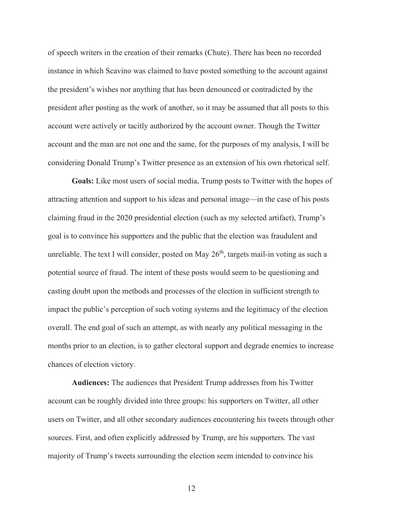of speech writers in the creation of their remarks (Chute). There has been no recorded instance in which Scavino was claimed to have posted something to the account against the president's wishes nor anything that has been denounced or contradicted by the president after posting as the work of another, so it may be assumed that all posts to this account were actively or tacitly authorized by the account owner. Though the Twitter account and the man are not one and the same, for the purposes of my analysis, I will be considering Donald Trump's Twitter presence as an extension of his own rhetorical self.

**Goals:** Like most users of social media, Trump posts to Twitter with the hopes of attracting attention and support to his ideas and personal image—in the case of his posts claiming fraud in the 2020 presidential election (such as my selected artifact), Trump's goal is to convince his supporters and the public that the election was fraudulent and unreliable. The text I will consider, posted on May  $26<sup>th</sup>$ , targets mail-in voting as such a potential source of fraud. The intent of these posts would seem to be questioning and casting doubt upon the methods and processes of the election in sufficient strength to impact the public's perception of such voting systems and the legitimacy of the election overall. The end goal of such an attempt, as with nearly any political messaging in the months prior to an election, is to gather electoral support and degrade enemies to increase chances of election victory.

**Audiences:** The audiences that President Trump addresses from his Twitter account can be roughly divided into three groups: his supporters on Twitter, all other users on Twitter, and all other secondary audiences encountering his tweets through other sources. First, and often explicitly addressed by Trump, are his supporters. The vast majority of Trump's tweets surrounding the election seem intended to convince his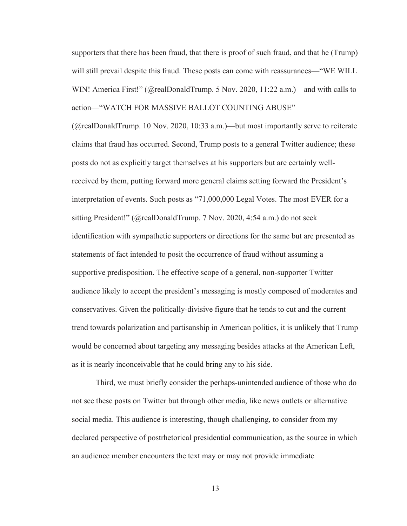supporters that there has been fraud, that there is proof of such fraud, and that he (Trump) will still prevail despite this fraud. These posts can come with reassurances—"WE WILL WIN! America First!" (@realDonaldTrump. 5 Nov. 2020, 11:22 a.m.)—and with calls to action—"WATCH FOR MASSIVE BALLOT COUNTING ABUSE"

(@realDonaldTrump. 10 Nov. 2020, 10:33 a.m.)—but most importantly serve to reiterate claims that fraud has occurred. Second, Trump posts to a general Twitter audience; these posts do not as explicitly target themselves at his supporters but are certainly wellreceived by them, putting forward more general claims setting forward the President's interpretation of events. Such posts as "71,000,000 Legal Votes. The most EVER for a sitting President!" (@realDonaldTrump. 7 Nov. 2020, 4:54 a.m.) do not seek identification with sympathetic supporters or directions for the same but are presented as statements of fact intended to posit the occurrence of fraud without assuming a supportive predisposition. The effective scope of a general, non-supporter Twitter audience likely to accept the president's messaging is mostly composed of moderates and conservatives. Given the politically-divisive figure that he tends to cut and the current trend towards polarization and partisanship in American politics, it is unlikely that Trump would be concerned about targeting any messaging besides attacks at the American Left, as it is nearly inconceivable that he could bring any to his side.

Third, we must briefly consider the perhaps-unintended audience of those who do not see these posts on Twitter but through other media, like news outlets or alternative social media. This audience is interesting, though challenging, to consider from my declared perspective of postrhetorical presidential communication, as the source in which an audience member encounters the text may or may not provide immediate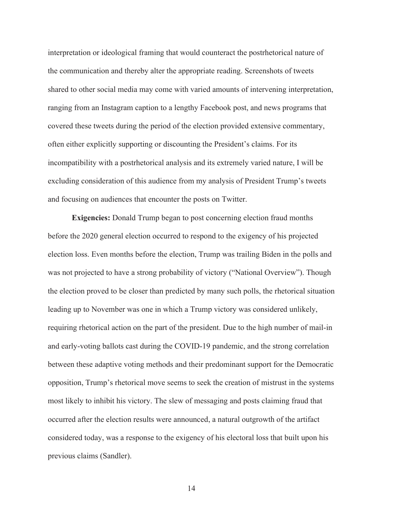interpretation or ideological framing that would counteract the postrhetorical nature of the communication and thereby alter the appropriate reading. Screenshots of tweets shared to other social media may come with varied amounts of intervening interpretation, ranging from an Instagram caption to a lengthy Facebook post, and news programs that covered these tweets during the period of the election provided extensive commentary, often either explicitly supporting or discounting the President's claims. For its incompatibility with a postrhetorical analysis and its extremely varied nature, I will be excluding consideration of this audience from my analysis of President Trump's tweets and focusing on audiences that encounter the posts on Twitter.

**Exigencies:** Donald Trump began to post concerning election fraud months before the 2020 general election occurred to respond to the exigency of his projected election loss. Even months before the election, Trump was trailing Biden in the polls and was not projected to have a strong probability of victory ("National Overview"). Though the election proved to be closer than predicted by many such polls, the rhetorical situation leading up to November was one in which a Trump victory was considered unlikely, requiring rhetorical action on the part of the president. Due to the high number of mail-in and early-voting ballots cast during the COVID-19 pandemic, and the strong correlation between these adaptive voting methods and their predominant support for the Democratic opposition, Trump's rhetorical move seems to seek the creation of mistrust in the systems most likely to inhibit his victory. The slew of messaging and posts claiming fraud that occurred after the election results were announced, a natural outgrowth of the artifact considered today, was a response to the exigency of his electoral loss that built upon his previous claims (Sandler).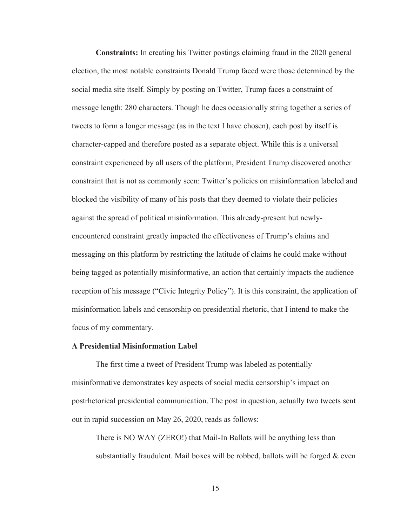**Constraints:** In creating his Twitter postings claiming fraud in the 2020 general election, the most notable constraints Donald Trump faced were those determined by the social media site itself. Simply by posting on Twitter, Trump faces a constraint of message length: 280 characters. Though he does occasionally string together a series of tweets to form a longer message (as in the text I have chosen), each post by itself is character-capped and therefore posted as a separate object. While this is a universal constraint experienced by all users of the platform, President Trump discovered another constraint that is not as commonly seen: Twitter's policies on misinformation labeled and blocked the visibility of many of his posts that they deemed to violate their policies against the spread of political misinformation. This already-present but newlyencountered constraint greatly impacted the effectiveness of Trump's claims and messaging on this platform by restricting the latitude of claims he could make without being tagged as potentially misinformative, an action that certainly impacts the audience reception of his message ("Civic Integrity Policy"). It is this constraint, the application of misinformation labels and censorship on presidential rhetoric, that I intend to make the focus of my commentary.

#### **A Presidential Misinformation Label**

The first time a tweet of President Trump was labeled as potentially misinformative demonstrates key aspects of social media censorship's impact on postrhetorical presidential communication. The post in question, actually two tweets sent out in rapid succession on May 26, 2020, reads as follows:

There is NO WAY (ZERO!) that Mail-In Ballots will be anything less than substantially fraudulent. Mail boxes will be robbed, ballots will be forged  $&$  even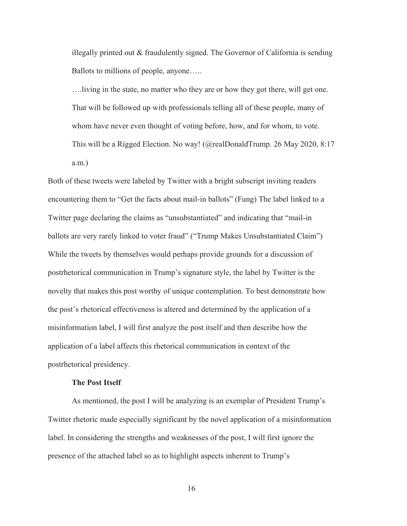illegally printed out & fraudulently signed. The Governor of California is sending Ballots to millions of people, anyone…..

….living in the state, no matter who they are or how they got there, will get one. That will be followed up with professionals telling all of these people, many of whom have never even thought of voting before, how, and for whom, to vote. This will be a Rigged Election. No way! (@realDonaldTrump. 26 May 2020, 8:17 a.m.)

Both of these tweets were labeled by Twitter with a bright subscript inviting readers encountering them to "Get the facts about mail-in ballots" (Fung) The label linked to a Twitter page declaring the claims as "unsubstantiated" and indicating that "mail-in ballots are very rarely linked to voter fraud" ("Trump Makes Unsubstantiated Claim") While the tweets by themselves would perhaps provide grounds for a discussion of postrhetorical communication in Trump's signature style, the label by Twitter is the novelty that makes this post worthy of unique contemplation. To best demonstrate how the post's rhetorical effectiveness is altered and determined by the application of a misinformation label, I will first analyze the post itself and then describe how the application of a label affects this rhetorical communication in context of the postrhetorical presidency.

#### **The Post Itself**

As mentioned, the post I will be analyzing is an exemplar of President Trump's Twitter rhetoric made especially significant by the novel application of a misinformation label. In considering the strengths and weaknesses of the post, I will first ignore the presence of the attached label so as to highlight aspects inherent to Trump's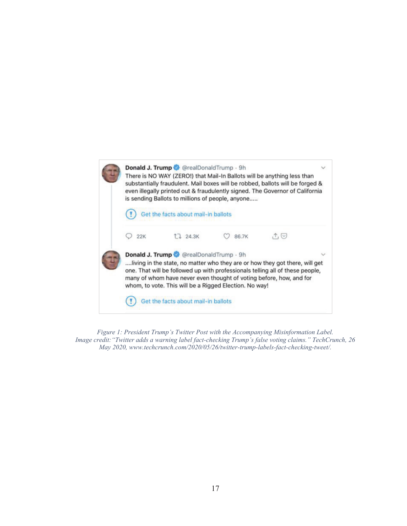

*Figure 1: President Trump's Twitter Post with the Accompanying Misinformation Label. Image credit:"Twitter adds a warning label fact-checking Trump's false voting claims." TechCrunch, 26 May 2020, www.techcrunch.com/2020/05/26/twitter-trump-labels-fact-checking-tweet/.*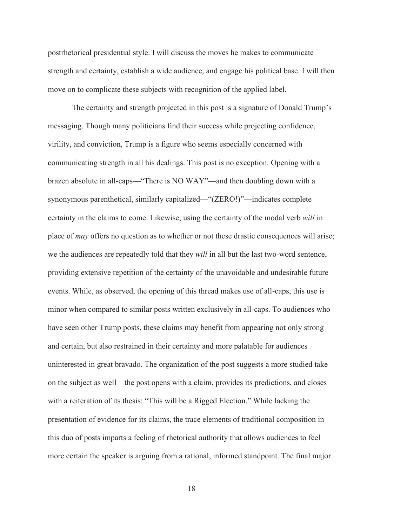postrhetorical presidential style. I will discuss the moves he makes to communicate strength and certainty, establish a wide audience, and engage his political base. I will then move on to complicate these subjects with recognition of the applied label.

The certainty and strength projected in this post is a signature of Donald Trump's messaging. Though many politicians find their success while projecting confidence, virility, and conviction, Trump is a figure who seems especially concerned with communicating strength in all his dealings. This post is no exception. Opening with a brazen absolute in all-caps—"There is NO WAY"—and then doubling down with a synonymous parenthetical, similarly capitalized—"(ZERO!)"—indicates complete certainty in the claims to come. Likewise, using the certainty of the modal verb *will* in place of *may* offers no question as to whether or not these drastic consequences will arise; we the audiences are repeatedly told that they *will* in all but the last two-word sentence, providing extensive repetition of the certainty of the unavoidable and undesirable future events. While, as observed, the opening of this thread makes use of all-caps, this use is minor when compared to similar posts written exclusively in all-caps. To audiences who have seen other Trump posts, these claims may benefit from appearing not only strong and certain, but also restrained in their certainty and more palatable for audiences uninterested in great bravado. The organization of the post suggests a more studied take on the subject as well—the post opens with a claim, provides its predictions, and closes with a reiteration of its thesis: "This will be a Rigged Election." While lacking the presentation of evidence for its claims, the trace elements of traditional composition in this duo of posts imparts a feeling of rhetorical authority that allows audiences to feel more certain the speaker is arguing from a rational, informed standpoint. The final major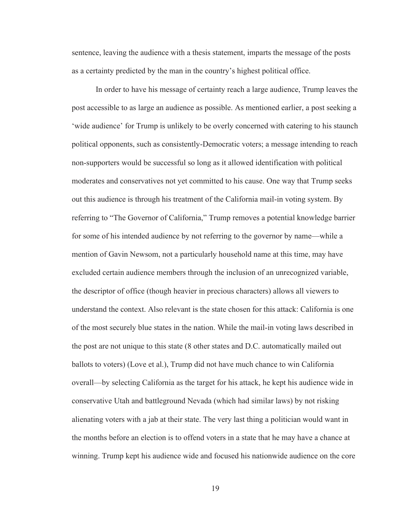sentence, leaving the audience with a thesis statement, imparts the message of the posts as a certainty predicted by the man in the country's highest political office.

 In order to have his message of certainty reach a large audience, Trump leaves the post accessible to as large an audience as possible. As mentioned earlier, a post seeking a 'wide audience' for Trump is unlikely to be overly concerned with catering to his staunch political opponents, such as consistently-Democratic voters; a message intending to reach non-supporters would be successful so long as it allowed identification with political moderates and conservatives not yet committed to his cause. One way that Trump seeks out this audience is through his treatment of the California mail-in voting system. By referring to "The Governor of California," Trump removes a potential knowledge barrier for some of his intended audience by not referring to the governor by name—while a mention of Gavin Newsom, not a particularly household name at this time, may have excluded certain audience members through the inclusion of an unrecognized variable, the descriptor of office (though heavier in precious characters) allows all viewers to understand the context. Also relevant is the state chosen for this attack: California is one of the most securely blue states in the nation. While the mail-in voting laws described in the post are not unique to this state (8 other states and D.C. automatically mailed out ballots to voters) (Love et al.), Trump did not have much chance to win California overall—by selecting California as the target for his attack, he kept his audience wide in conservative Utah and battleground Nevada (which had similar laws) by not risking alienating voters with a jab at their state. The very last thing a politician would want in the months before an election is to offend voters in a state that he may have a chance at winning. Trump kept his audience wide and focused his nationwide audience on the core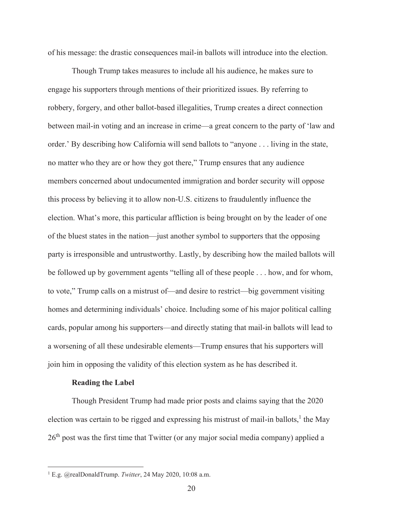of his message: the drastic consequences mail-in ballots will introduce into the election.

Though Trump takes measures to include all his audience, he makes sure to engage his supporters through mentions of their prioritized issues. By referring to robbery, forgery, and other ballot-based illegalities, Trump creates a direct connection between mail-in voting and an increase in crime—a great concern to the party of 'law and order.' By describing how California will send ballots to "anyone . . . living in the state, no matter who they are or how they got there," Trump ensures that any audience members concerned about undocumented immigration and border security will oppose this process by believing it to allow non-U.S. citizens to fraudulently influence the election. What's more, this particular affliction is being brought on by the leader of one of the bluest states in the nation—just another symbol to supporters that the opposing party is irresponsible and untrustworthy. Lastly, by describing how the mailed ballots will be followed up by government agents "telling all of these people . . . how, and for whom, to vote," Trump calls on a mistrust of—and desire to restrict—big government visiting homes and determining individuals' choice. Including some of his major political calling cards, popular among his supporters—and directly stating that mail-in ballots will lead to a worsening of all these undesirable elements—Trump ensures that his supporters will join him in opposing the validity of this election system as he has described it.

#### **Reading the Label**

 Though President Trump had made prior posts and claims saying that the 2020 election was certain to be rigged and expressing his mistrust of mail-in ballots,<sup>1</sup> the May  $26<sup>th</sup>$  post was the first time that Twitter (or any major social media company) applied a

<sup>1</sup> E.g. @realDonaldTrump. *Twitter*, 24 May 2020, 10:08 a.m.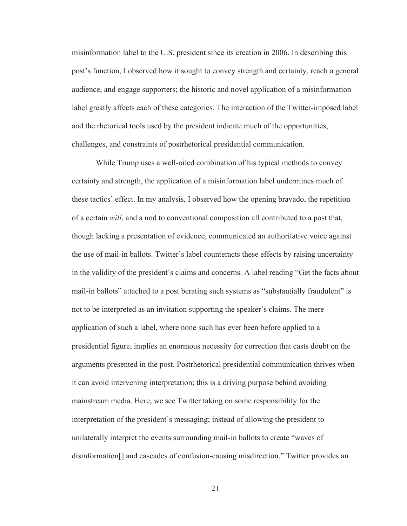misinformation label to the U.S. president since its creation in 2006. In describing this post's function, I observed how it sought to convey strength and certainty, reach a general audience, and engage supporters; the historic and novel application of a misinformation label greatly affects each of these categories. The interaction of the Twitter-imposed label and the rhetorical tools used by the president indicate much of the opportunities, challenges, and constraints of postrhetorical presidential communication.

 While Trump uses a well-oiled combination of his typical methods to convey certainty and strength, the application of a misinformation label undermines much of these tactics' effect. In my analysis, I observed how the opening bravado, the repetition of a certain *will*, and a nod to conventional composition all contributed to a post that, though lacking a presentation of evidence, communicated an authoritative voice against the use of mail-in ballots. Twitter's label counteracts these effects by raising uncertainty in the validity of the president's claims and concerns. A label reading "Get the facts about mail-in ballots" attached to a post berating such systems as "substantially fraudulent" is not to be interpreted as an invitation supporting the speaker's claims. The mere application of such a label, where none such has ever been before applied to a presidential figure, implies an enormous necessity for correction that casts doubt on the arguments presented in the post. Postrhetorical presidential communication thrives when it can avoid intervening interpretation; this is a driving purpose behind avoiding mainstream media. Here, we see Twitter taking on some responsibility for the interpretation of the president's messaging; instead of allowing the president to unilaterally interpret the events surrounding mail-in ballots to create "waves of disinformation[] and cascades of confusion-causing misdirection," Twitter provides an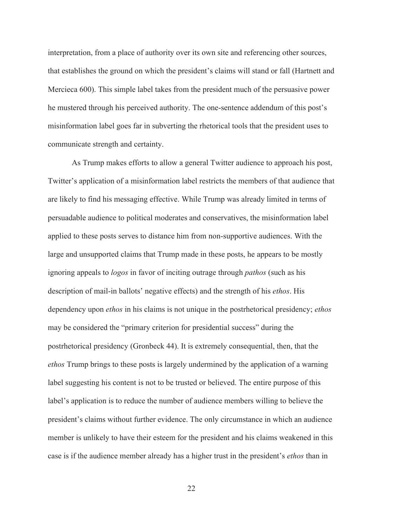interpretation, from a place of authority over its own site and referencing other sources, that establishes the ground on which the president's claims will stand or fall (Hartnett and Mercieca 600). This simple label takes from the president much of the persuasive power he mustered through his perceived authority. The one-sentence addendum of this post's misinformation label goes far in subverting the rhetorical tools that the president uses to communicate strength and certainty.

As Trump makes efforts to allow a general Twitter audience to approach his post, Twitter's application of a misinformation label restricts the members of that audience that are likely to find his messaging effective. While Trump was already limited in terms of persuadable audience to political moderates and conservatives, the misinformation label applied to these posts serves to distance him from non-supportive audiences. With the large and unsupported claims that Trump made in these posts, he appears to be mostly ignoring appeals to *logos* in favor of inciting outrage through *pathos* (such as his description of mail-in ballots' negative effects) and the strength of his *ethos*. His dependency upon *ethos* in his claims is not unique in the postrhetorical presidency; *ethos* may be considered the "primary criterion for presidential success" during the postrhetorical presidency (Gronbeck 44). It is extremely consequential, then, that the *ethos* Trump brings to these posts is largely undermined by the application of a warning label suggesting his content is not to be trusted or believed. The entire purpose of this label's application is to reduce the number of audience members willing to believe the president's claims without further evidence. The only circumstance in which an audience member is unlikely to have their esteem for the president and his claims weakened in this case is if the audience member already has a higher trust in the president's *ethos* than in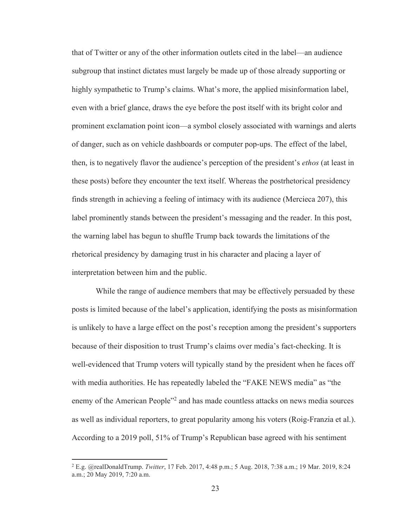that of Twitter or any of the other information outlets cited in the label—an audience subgroup that instinct dictates must largely be made up of those already supporting or highly sympathetic to Trump's claims. What's more, the applied misinformation label, even with a brief glance, draws the eye before the post itself with its bright color and prominent exclamation point icon—a symbol closely associated with warnings and alerts of danger, such as on vehicle dashboards or computer pop-ups. The effect of the label, then, is to negatively flavor the audience's perception of the president's *ethos* (at least in these posts) before they encounter the text itself. Whereas the postrhetorical presidency finds strength in achieving a feeling of intimacy with its audience (Mercieca 207), this label prominently stands between the president's messaging and the reader. In this post, the warning label has begun to shuffle Trump back towards the limitations of the rhetorical presidency by damaging trust in his character and placing a layer of interpretation between him and the public.

While the range of audience members that may be effectively persuaded by these posts is limited because of the label's application, identifying the posts as misinformation is unlikely to have a large effect on the post's reception among the president's supporters because of their disposition to trust Trump's claims over media's fact-checking. It is well-evidenced that Trump voters will typically stand by the president when he faces off with media authorities. He has repeatedly labeled the "FAKE NEWS media" as "the enemy of the American People"<sup>2</sup> and has made countless attacks on news media sources as well as individual reporters, to great popularity among his voters (Roig-Franzia et al.). According to a 2019 poll, 51% of Trump's Republican base agreed with his sentiment

<sup>2</sup> E.g. @realDonaldTrump. *Twitter*, 17 Feb. 2017, 4:48 p.m.; 5 Aug. 2018, 7:38 a.m.; 19 Mar. 2019, 8:24 a.m.; 20 May 2019, 7:20 a.m.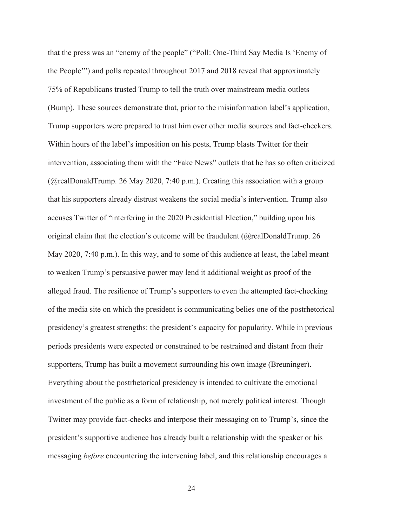that the press was an "enemy of the people" ("Poll: One-Third Say Media Is 'Enemy of the People'") and polls repeated throughout 2017 and 2018 reveal that approximately 75% of Republicans trusted Trump to tell the truth over mainstream media outlets (Bump). These sources demonstrate that, prior to the misinformation label's application, Trump supporters were prepared to trust him over other media sources and fact-checkers. Within hours of the label's imposition on his posts, Trump blasts Twitter for their intervention, associating them with the "Fake News" outlets that he has so often criticized (@realDonaldTrump. 26 May 2020, 7:40 p.m.). Creating this association with a group that his supporters already distrust weakens the social media's intervention. Trump also accuses Twitter of "interfering in the 2020 Presidential Election," building upon his original claim that the election's outcome will be fraudulent ( $\omega$ realDonaldTrump. 26 May 2020, 7:40 p.m.). In this way, and to some of this audience at least, the label meant to weaken Trump's persuasive power may lend it additional weight as proof of the alleged fraud. The resilience of Trump's supporters to even the attempted fact-checking of the media site on which the president is communicating belies one of the postrhetorical presidency's greatest strengths: the president's capacity for popularity. While in previous periods presidents were expected or constrained to be restrained and distant from their supporters, Trump has built a movement surrounding his own image (Breuninger). Everything about the postrhetorical presidency is intended to cultivate the emotional investment of the public as a form of relationship, not merely political interest. Though Twitter may provide fact-checks and interpose their messaging on to Trump's, since the president's supportive audience has already built a relationship with the speaker or his messaging *before* encountering the intervening label, and this relationship encourages a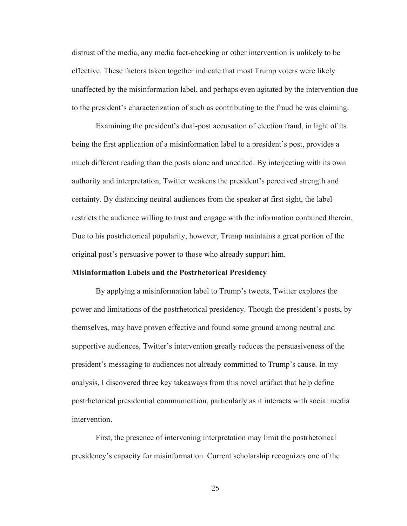distrust of the media, any media fact-checking or other intervention is unlikely to be effective. These factors taken together indicate that most Trump voters were likely unaffected by the misinformation label, and perhaps even agitated by the intervention due to the president's characterization of such as contributing to the fraud he was claiming.

Examining the president's dual-post accusation of election fraud, in light of its being the first application of a misinformation label to a president's post, provides a much different reading than the posts alone and unedited. By interjecting with its own authority and interpretation, Twitter weakens the president's perceived strength and certainty. By distancing neutral audiences from the speaker at first sight, the label restricts the audience willing to trust and engage with the information contained therein. Due to his postrhetorical popularity, however, Trump maintains a great portion of the original post's persuasive power to those who already support him.

#### **Misinformation Labels and the Postrhetorical Presidency**

By applying a misinformation label to Trump's tweets, Twitter explores the power and limitations of the postrhetorical presidency. Though the president's posts, by themselves, may have proven effective and found some ground among neutral and supportive audiences, Twitter's intervention greatly reduces the persuasiveness of the president's messaging to audiences not already committed to Trump's cause. In my analysis, I discovered three key takeaways from this novel artifact that help define postrhetorical presidential communication, particularly as it interacts with social media intervention.

First, the presence of intervening interpretation may limit the postrhetorical presidency's capacity for misinformation. Current scholarship recognizes one of the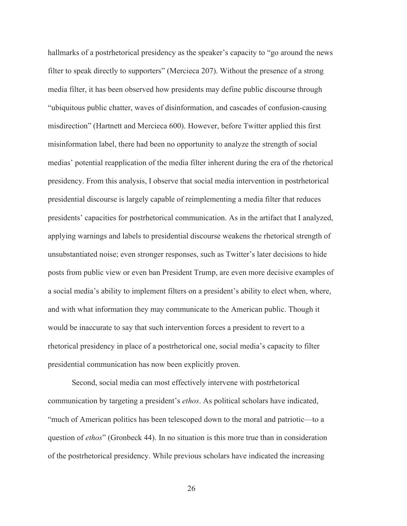hallmarks of a postrhetorical presidency as the speaker's capacity to "go around the news filter to speak directly to supporters" (Mercieca 207). Without the presence of a strong media filter, it has been observed how presidents may define public discourse through "ubiquitous public chatter, waves of disinformation, and cascades of confusion-causing misdirection" (Hartnett and Mercieca 600). However, before Twitter applied this first misinformation label, there had been no opportunity to analyze the strength of social medias' potential reapplication of the media filter inherent during the era of the rhetorical presidency. From this analysis, I observe that social media intervention in postrhetorical presidential discourse is largely capable of reimplementing a media filter that reduces presidents' capacities for postrhetorical communication. As in the artifact that I analyzed, applying warnings and labels to presidential discourse weakens the rhetorical strength of unsubstantiated noise; even stronger responses, such as Twitter's later decisions to hide posts from public view or even ban President Trump, are even more decisive examples of a social media's ability to implement filters on a president's ability to elect when, where, and with what information they may communicate to the American public. Though it would be inaccurate to say that such intervention forces a president to revert to a rhetorical presidency in place of a postrhetorical one, social media's capacity to filter presidential communication has now been explicitly proven.

Second, social media can most effectively intervene with postrhetorical communication by targeting a president's *ethos*. As political scholars have indicated, "much of American politics has been telescoped down to the moral and patriotic—to a question of *ethos*" (Gronbeck 44). In no situation is this more true than in consideration of the postrhetorical presidency. While previous scholars have indicated the increasing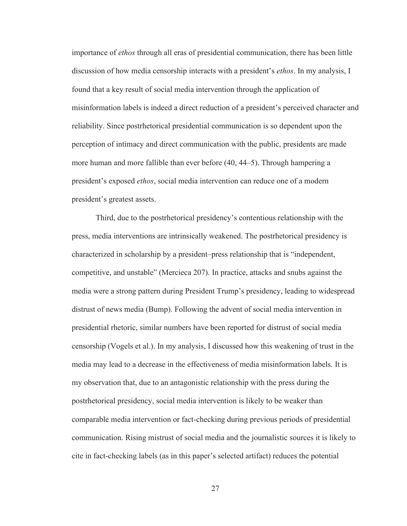importance of *ethos* through all eras of presidential communication, there has been little discussion of how media censorship interacts with a president's *ethos*. In my analysis, I found that a key result of social media intervention through the application of misinformation labels is indeed a direct reduction of a president's perceived character and reliability. Since postrhetorical presidential communication is so dependent upon the perception of intimacy and direct communication with the public, presidents are made more human and more fallible than ever before (40, 44–5). Through hampering a president's exposed *ethos*, social media intervention can reduce one of a modern president's greatest assets.

Third, due to the postrhetorical presidency's contentious relationship with the press, media interventions are intrinsically weakened. The postrhetorical presidency is characterized in scholarship by a president–press relationship that is "independent, competitive, and unstable" (Mercieca 207). In practice, attacks and snubs against the media were a strong pattern during President Trump's presidency, leading to widespread distrust of news media (Bump). Following the advent of social media intervention in presidential rhetoric, similar numbers have been reported for distrust of social media censorship (Vogels et al.). In my analysis, I discussed how this weakening of trust in the media may lead to a decrease in the effectiveness of media misinformation labels. It is my observation that, due to an antagonistic relationship with the press during the postrhetorical presidency, social media intervention is likely to be weaker than comparable media intervention or fact-checking during previous periods of presidential communication. Rising mistrust of social media and the journalistic sources it is likely to cite in fact-checking labels (as in this paper's selected artifact) reduces the potential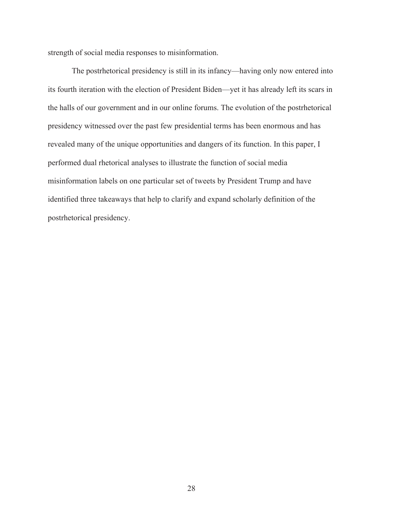strength of social media responses to misinformation.

The postrhetorical presidency is still in its infancy—having only now entered into its fourth iteration with the election of President Biden—yet it has already left its scars in the halls of our government and in our online forums. The evolution of the postrhetorical presidency witnessed over the past few presidential terms has been enormous and has revealed many of the unique opportunities and dangers of its function. In this paper, I performed dual rhetorical analyses to illustrate the function of social media misinformation labels on one particular set of tweets by President Trump and have identified three takeaways that help to clarify and expand scholarly definition of the postrhetorical presidency.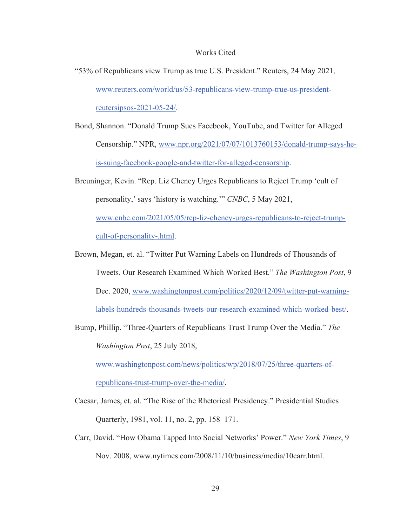#### Works Cited

- "53% of Republicans view Trump as true U.S. President." Reuters, 24 May 2021, www.reuters.com/world/us/53-republicans-view-trump-true-us-presidentreutersipsos-2021-05-24/.
- Bond, Shannon. "Donald Trump Sues Facebook, YouTube, and Twitter for Alleged Censorship." NPR, www.npr.org/2021/07/07/1013760153/donald-trump-says-heis-suing-facebook-google-and-twitter-for-alleged-censorship.
- Breuninger, Kevin. "Rep. Liz Cheney Urges Republicans to Reject Trump 'cult of personality,' says 'history is watching.'" *CNBC*, 5 May 2021, www.cnbc.com/2021/05/05/rep-liz-cheney-urges-republicans-to-reject-trumpcult-of-personality-.html.
- Brown, Megan, et. al. "Twitter Put Warning Labels on Hundreds of Thousands of Tweets. Our Research Examined Which Worked Best." *The Washington Post*, 9 Dec. 2020, www.washingtonpost.com/politics/2020/12/09/twitter-put-warninglabels-hundreds-thousands-tweets-our-research-examined-which-worked-best/.
- Bump, Phillip. "Three-Quarters of Republicans Trust Trump Over the Media." *The Washington Post*, 25 July 2018,

www.washingtonpost.com/news/politics/wp/2018/07/25/three-quarters-ofrepublicans-trust-trump-over-the-media/.

- Caesar, James, et. al. "The Rise of the Rhetorical Presidency." Presidential Studies Quarterly, 1981, vol. 11, no. 2, pp. 158–171.
- Carr, David. "How Obama Tapped Into Social Networks' Power." *New York Times*, 9 Nov. 2008, www.nytimes.com/2008/11/10/business/media/10carr.html.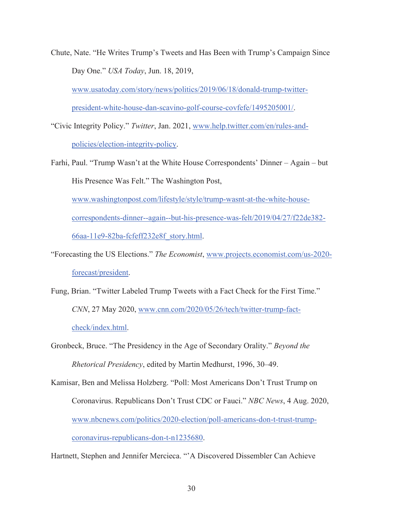Chute, Nate. "He Writes Trump's Tweets and Has Been with Trump's Campaign Since Day One." *USA Today*, Jun. 18, 2019,

www.usatoday.com/story/news/politics/2019/06/18/donald-trump-twitterpresident-white-house-dan-scavino-golf-course-covfefe/1495205001/.

- "Civic Integrity Policy." *Twitter*, Jan. 2021, www.help.twitter.com/en/rules-andpolicies/election-integrity-policy.
- Farhi, Paul. "Trump Wasn't at the White House Correspondents' Dinner Again but His Presence Was Felt." The Washington Post, www.washingtonpost.com/lifestyle/style/trump-wasnt-at-the-white-house-

correspondents-dinner--again--but-his-presence-was-felt/2019/04/27/f22de382- 66aa-11e9-82ba-fcfeff232e8f\_story.html.

- "Forecasting the US Elections." *The Economist*, www.projects.economist.com/us-2020 forecast/president.
- Fung, Brian. "Twitter Labeled Trump Tweets with a Fact Check for the First Time." *CNN*, 27 May 2020, www.cnn.com/2020/05/26/tech/twitter-trump-factcheck/index.html.

Gronbeck, Bruce. "The Presidency in the Age of Secondary Orality." *Beyond the Rhetorical Presidency*, edited by Martin Medhurst, 1996, 30–49.

Kamisar, Ben and Melissa Holzberg. "Poll: Most Americans Don't Trust Trump on Coronavirus. Republicans Don't Trust CDC or Fauci." *NBC News*, 4 Aug. 2020, www.nbcnews.com/politics/2020-election/poll-americans-don-t-trust-trumpcoronavirus-republicans-don-t-n1235680.

Hartnett, Stephen and Jennifer Mercieca. "'A Discovered Dissembler Can Achieve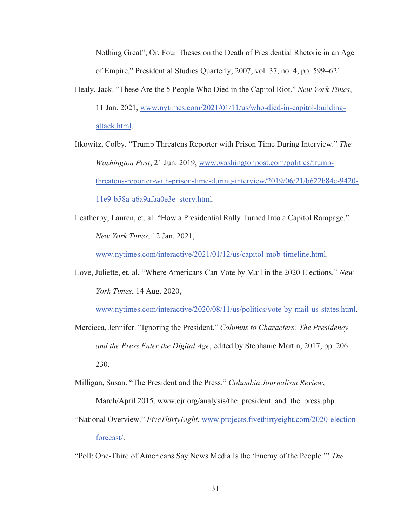Nothing Great"; Or, Four Theses on the Death of Presidential Rhetoric in an Age of Empire." Presidential Studies Quarterly, 2007, vol. 37, no. 4, pp. 599–621.

- Healy, Jack. "These Are the 5 People Who Died in the Capitol Riot." *New York Times*, 11 Jan. 2021, www.nytimes.com/2021/01/11/us/who-died-in-capitol-buildingattack.html.
- Itkowitz, Colby. "Trump Threatens Reporter with Prison Time During Interview." *The Washington Post*, 21 Jun. 2019, www.washingtonpost.com/politics/trumpthreatens-reporter-with-prison-time-during-interview/2019/06/21/b622b84c-9420- 11e9-b58a-a6a9afaa0e3e\_story.html.
- Leatherby, Lauren, et. al. "How a Presidential Rally Turned Into a Capitol Rampage." *New York Times*, 12 Jan. 2021,

www.nytimes.com/interactive/2021/01/12/us/capitol-mob-timeline.html.

Love, Juliette, et. al. "Where Americans Can Vote by Mail in the 2020 Elections." *New York Times*, 14 Aug. 2020,

www.nytimes.com/interactive/2020/08/11/us/politics/vote-by-mail-us-states.html.

Mercieca, Jennifer. "Ignoring the President." *Columns to Characters: The Presidency and the Press Enter the Digital Age*, edited by Stephanie Martin, 2017, pp. 206– 230.

Milligan, Susan. "The President and the Press." *Columbia Journalism Review*,

March/April 2015, www.cjr.org/analysis/the president and the press.php.

- "National Overview." *FiveThirtyEight*, www.projects.fivethirtyeight.com/2020-electionforecast/.
- "Poll: One-Third of Americans Say News Media Is the 'Enemy of the People.'" *The*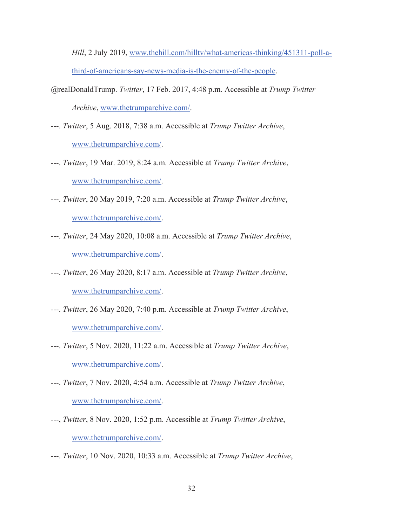*Hill*, 2 July 2019, www.thehill.com/hilltv/what-americas-thinking/451311-poll-athird-of-americans-say-news-media-is-the-enemy-of-the-people.

- @realDonaldTrump. *Twitter*, 17 Feb. 2017, 4:48 p.m. Accessible at *Trump Twitter Archive*, www.thetrumparchive.com/.
- ---. *Twitter*, 5 Aug. 2018, 7:38 a.m. Accessible at *Trump Twitter Archive*, www.thetrumparchive.com/.
- ---. *Twitter*, 19 Mar. 2019, 8:24 a.m. Accessible at *Trump Twitter Archive*, www.thetrumparchive.com/.
- ---. *Twitter*, 20 May 2019, 7:20 a.m. Accessible at *Trump Twitter Archive*, www.thetrumparchive.com/.
- ---. *Twitter*, 24 May 2020, 10:08 a.m. Accessible at *Trump Twitter Archive*, www.thetrumparchive.com/.
- ---. *Twitter*, 26 May 2020, 8:17 a.m. Accessible at *Trump Twitter Archive*, www.thetrumparchive.com/.
- ---. *Twitter*, 26 May 2020, 7:40 p.m. Accessible at *Trump Twitter Archive*, www.thetrumparchive.com/.
- ---. *Twitter*, 5 Nov. 2020, 11:22 a.m. Accessible at *Trump Twitter Archive*, www.thetrumparchive.com/.
- ---. *Twitter*, 7 Nov. 2020, 4:54 a.m. Accessible at *Trump Twitter Archive*, www.thetrumparchive.com/.
- ---, *Twitter*, 8 Nov. 2020, 1:52 p.m. Accessible at *Trump Twitter Archive*, www.thetrumparchive.com/.
- ---. *Twitter*, 10 Nov. 2020, 10:33 a.m. Accessible at *Trump Twitter Archive*,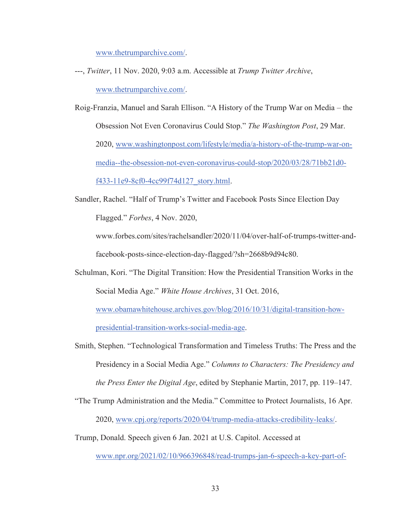www.thetrumparchive.com/.

- ---, *Twitter*, 11 Nov. 2020, 9:03 a.m. Accessible at *Trump Twitter Archive*, www.thetrumparchive.com/.
- Roig-Franzia, Manuel and Sarah Ellison. "A History of the Trump War on Media the Obsession Not Even Coronavirus Could Stop." *The Washington Post*, 29 Mar. 2020, www.washingtonpost.com/lifestyle/media/a-history-of-the-trump-war-onmedia--the-obsession-not-even-coronavirus-could-stop/2020/03/28/71bb21d0 f433-11e9-8cf0-4cc99f74d127\_story.html.
- Sandler, Rachel. "Half of Trump's Twitter and Facebook Posts Since Election Day Flagged." *Forbes*, 4 Nov. 2020,

www.forbes.com/sites/rachelsandler/2020/11/04/over-half-of-trumps-twitter-andfacebook-posts-since-election-day-flagged/?sh=2668b9d94c80.

Schulman, Kori. "The Digital Transition: How the Presidential Transition Works in the Social Media Age." *White House Archives*, 31 Oct. 2016,

www.obamawhitehouse.archives.gov/blog/2016/10/31/digital-transition-how-

presidential-transition-works-social-media-age.

Smith, Stephen. "Technological Transformation and Timeless Truths: The Press and the Presidency in a Social Media Age." *Columns to Characters: The Presidency and the Press Enter the Digital Age*, edited by Stephanie Martin, 2017, pp. 119–147.

- "The Trump Administration and the Media." Committee to Protect Journalists, 16 Apr. 2020, www.cpj.org/reports/2020/04/trump-media-attacks-credibility-leaks/.
- Trump, Donald. Speech given 6 Jan. 2021 at U.S. Capitol. Accessed at

www.npr.org/2021/02/10/966396848/read-trumps-jan-6-speech-a-key-part-of-